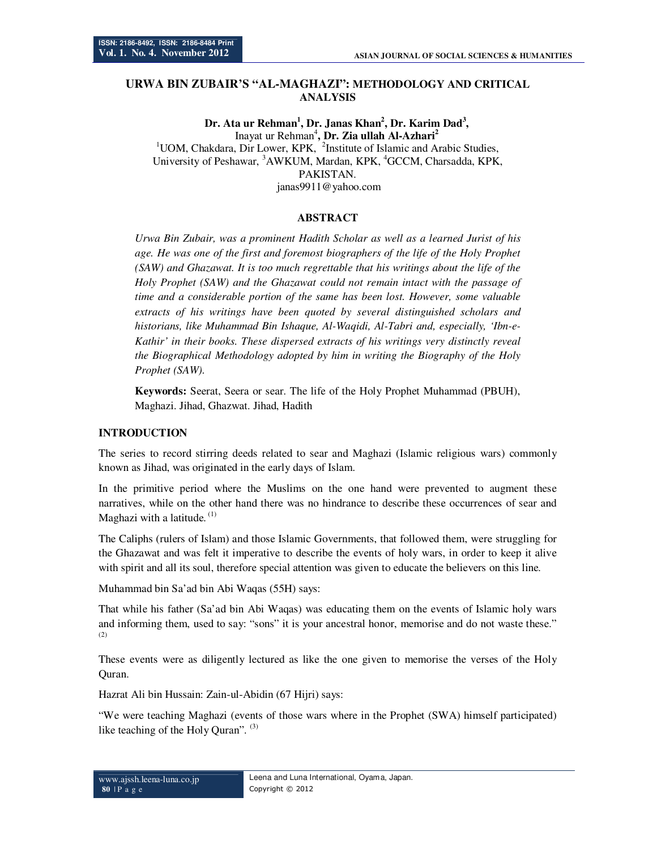# **URWA BIN ZUBAIR'S "AL-MAGHAZI": METHODOLOGY AND CRITICAL ANALYSIS**

**Dr. Ata ur Rehman<sup>1</sup> , Dr. Janas Khan<sup>2</sup> , Dr. Karim Dad<sup>3</sup> ,**  Inayat ur Rehman<sup>4</sup> **, Dr. Zia ullah Al-Azhari<sup>2</sup>**  $1$ UOM, Chakdara, Dir Lower, KPK,  $2$ Institute of Islamic and Arabic Studies, University of Peshawar, <sup>3</sup>AWKUM, Mardan, KPK, <sup>4</sup>GCCM, Charsadda, KPK, PAKISTAN. janas9911@yahoo.com

## **ABSTRACT**

*Urwa Bin Zubair, was a prominent Hadith Scholar as well as a learned Jurist of his age. He was one of the first and foremost biographers of the life of the Holy Prophet (SAW) and Ghazawat. It is too much regrettable that his writings about the life of the Holy Prophet (SAW) and the Ghazawat could not remain intact with the passage of time and a considerable portion of the same has been lost. However, some valuable extracts of his writings have been quoted by several distinguished scholars and historians, like Muhammad Bin Ishaque, Al-Waqidi, Al-Tabri and, especially, 'Ibn-e-Kathir' in their books. These dispersed extracts of his writings very distinctly reveal the Biographical Methodology adopted by him in writing the Biography of the Holy Prophet (SAW).* 

**Keywords:** Seerat, Seera or sear. The life of the Holy Prophet Muhammad (PBUH), Maghazi. Jihad, Ghazwat. Jihad, Hadith

#### **INTRODUCTION**

The series to record stirring deeds related to sear and Maghazi (Islamic religious wars) commonly known as Jihad, was originated in the early days of Islam.

In the primitive period where the Muslims on the one hand were prevented to augment these narratives, while on the other hand there was no hindrance to describe these occurrences of sear and Maghazi with a latitude.  $(1)$ 

The Caliphs (rulers of Islam) and those Islamic Governments, that followed them, were struggling for the Ghazawat and was felt it imperative to describe the events of holy wars, in order to keep it alive with spirit and all its soul, therefore special attention was given to educate the believers on this line.

Muhammad bin Sa'ad bin Abi Waqas (55H) says:

That while his father (Sa'ad bin Abi Waqas) was educating them on the events of Islamic holy wars and informing them, used to say: "sons" it is your ancestral honor, memorise and do not waste these." (2)

These events were as diligently lectured as like the one given to memorise the verses of the Holy Quran.

Hazrat Ali bin Hussain: Zain-ul-Abidin (67 Hijri) says:

"We were teaching Maghazi (events of those wars where in the Prophet (SWA) himself participated) like teaching of the Holy Quran".  $(3)$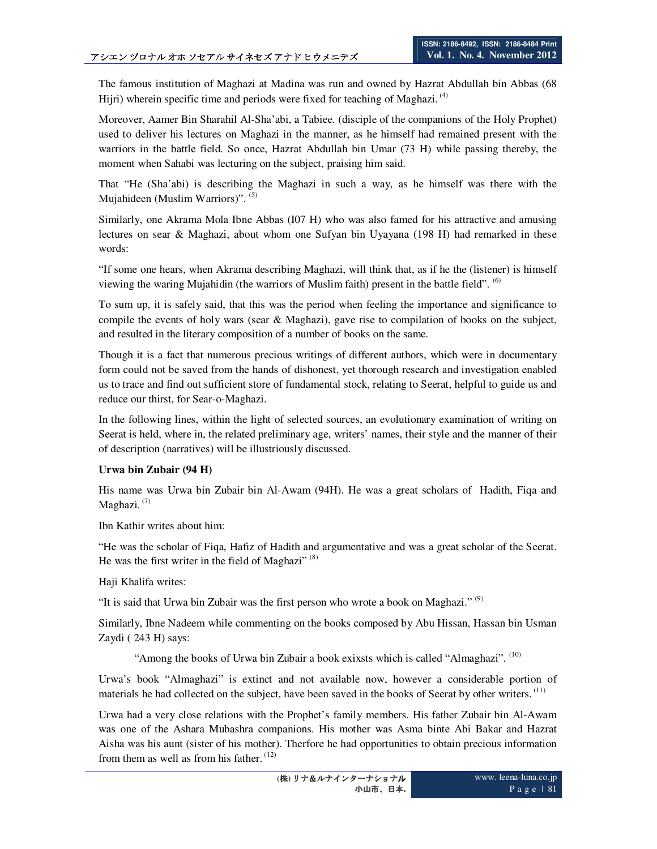The famous institution of Maghazi at Madina was run and owned by Hazrat Abdullah bin Abbas (68 Hijri) wherein specific time and periods were fixed for teaching of Maghazi.  $^{(4)}$ 

Moreover, Aamer Bin Sharahil Al-Sha'abi, a Tabiee. (disciple of the companions of the Holy Prophet) used to deliver his lectures on Maghazi in the manner, as he himself had remained present with the warriors in the battle field. So once, Hazrat Abdullah bin Umar (73 H) while passing thereby, the moment when Sahabi was lecturing on the subject, praising him said.

That "He (Sha'abi) is describing the Maghazi in such a way, as he himself was there with the Mujahideen (Muslim Warriors)". (5)

Similarly, one Akrama Mola Ibne Abbas (I07 H) who was also famed for his attractive and amusing lectures on sear & Maghazi, about whom one Sufyan bin Uyayana (198 H) had remarked in these words:

"If some one hears, when Akrama describing Maghazi, will think that, as if he the (listener) is himself viewing the waring Mujahidin (the warriors of Muslim faith) present in the battle field". (6)

To sum up, it is safely said, that this was the period when feeling the importance and significance to compile the events of holy wars (sear  $\&$  Maghazi), gave rise to compilation of books on the subject, and resulted in the literary composition of a number of books on the same.

Though it is a fact that numerous precious writings of different authors, which were in documentary form could not be saved from the hands of dishonest, yet thorough research and investigation enabled us to trace and find out sufficient store of fundamental stock, relating to Seerat, helpful to guide us and reduce our thirst, for Sear-o-Maghazi.

In the following lines, within the light of selected sources, an evolutionary examination of writing on Seerat is held, where in, the related preliminary age, writers' names, their style and the manner of their of description (narratives) will be illustriously discussed.

#### **Urwa bin Zubair (94 H)**

His name was Urwa bin Zubair bin Al-Awam (94H). He was a great scholars of Hadith, Fiqa and Maghazi. $(7)$ 

Ibn Kathir writes about him:

"He was the scholar of Fiqa, Hafiz of Hadith and argumentative and was a great scholar of the Seerat. He was the first writer in the field of Maghazi" $(8)$ 

Haji Khalifa writes:

"It is said that Urwa bin Zubair was the first person who wrote a book on Maghazi."  $(9)$ 

Similarly, Ibne Nadeem while commenting on the books composed by Abu Hissan, Hassan bin Usman Zaydi ( 243 H) says:

"Among the books of Urwa bin Zubair a book exixsts which is called "Almaghazi". <sup>(10)</sup>

Urwa's book "Almaghazi" is extinct and not available now, however a considerable portion of materials he had collected on the subject, have been saved in the books of Seerat by other writers. <sup>(11)</sup>

Urwa had a very close relations with the Prophet's family members. His father Zubair bin Al-Awam was one of the Ashara Mubashra companions. His mother was Asma binte Abi Bakar and Hazrat Aisha was his aunt (sister of his mother). Therfore he had opportunities to obtain precious information from them as well as from his father.<sup>(12)</sup>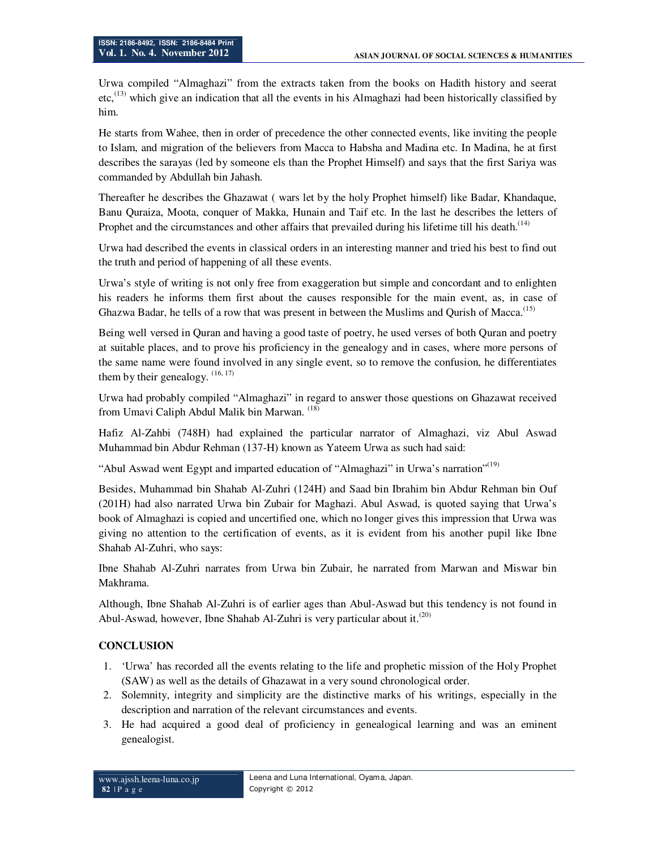Urwa compiled "Almaghazi" from the extracts taken from the books on Hadith history and seerat etc,<sup>(13)</sup> which give an indication that all the events in his Almaghazi had been historically classified by him.

He starts from Wahee, then in order of precedence the other connected events, like inviting the people to Islam, and migration of the believers from Macca to Habsha and Madina etc. In Madina, he at first describes the sarayas (led by someone els than the Prophet Himself) and says that the first Sariya was commanded by Abdullah bin Jahash.

Thereafter he describes the Ghazawat ( wars let by the holy Prophet himself) like Badar, Khandaque, Banu Quraiza, Moota, conquer of Makka, Hunain and Taif etc. In the last he describes the letters of Prophet and the circumstances and other affairs that prevailed during his lifetime till his death.<sup>(14)</sup>

Urwa had described the events in classical orders in an interesting manner and tried his best to find out the truth and period of happening of all these events.

Urwa's style of writing is not only free from exaggeration but simple and concordant and to enlighten his readers he informs them first about the causes responsible for the main event, as, in case of Ghazwa Badar, he tells of a row that was present in between the Muslims and Qurish of Macca.<sup>(15)</sup>

Being well versed in Quran and having a good taste of poetry, he used verses of both Quran and poetry at suitable places, and to prove his proficiency in the genealogy and in cases, where more persons of the same name were found involved in any single event, so to remove the confusion, he differentiates them by their genealogy.  $(16, 17)$ 

Urwa had probably compiled "Almaghazi" in regard to answer those questions on Ghazawat received from Umavi Caliph Abdul Malik bin Marwan. (18)

Hafiz Al-Zahbi (748H) had explained the particular narrator of Almaghazi, viz Abul Aswad Muhammad bin Abdur Rehman (137-H) known as Yateem Urwa as such had said:

"Abul Aswad went Egypt and imparted education of "Almaghazi" in Urwa's narration"<sup>(19)</sup>

Besides, Muhammad bin Shahab Al-Zuhri (124H) and Saad bin Ibrahim bin Abdur Rehman bin Ouf (201H) had also narrated Urwa bin Zubair for Maghazi. Abul Aswad, is quoted saying that Urwa's book of Almaghazi is copied and uncertified one, which no longer gives this impression that Urwa was giving no attention to the certification of events, as it is evident from his another pupil like Ibne Shahab Al-Zuhri, who says:

Ibne Shahab Al-Zuhri narrates from Urwa bin Zubair, he narrated from Marwan and Miswar bin Makhrama.

Although, Ibne Shahab Al-Zuhri is of earlier ages than Abul-Aswad but this tendency is not found in Abul-Aswad, however, Ibne Shahab Al-Zuhri is very particular about it.<sup> $(20)$ </sup>

## **CONCLUSION**

- 1. 'Urwa' has recorded all the events relating to the life and prophetic mission of the Holy Prophet (SAW) as well as the details of Ghazawat in a very sound chronological order.
- 2. Solemnity, integrity and simplicity are the distinctive marks of his writings, especially in the description and narration of the relevant circumstances and events.
- 3. He had acquired a good deal of proficiency in genealogical learning and was an eminent genealogist.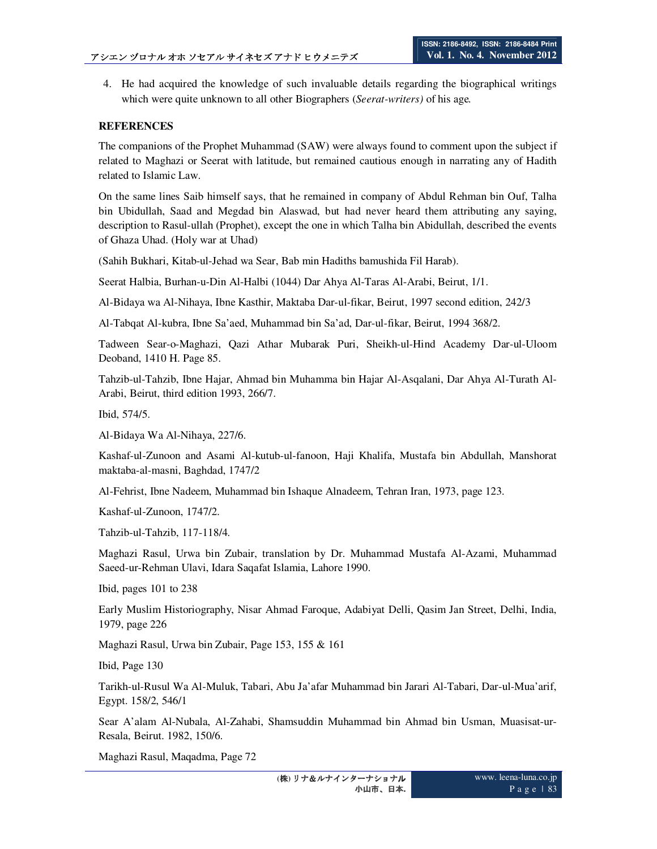4. He had acquired the knowledge of such invaluable details regarding the biographical writings which were quite unknown to all other Biographers (*Seerat-writers)* of his age*.*

### **REFERENCES**

The companions of the Prophet Muhammad (SAW) were always found to comment upon the subject if related to Maghazi or Seerat with latitude, but remained cautious enough in narrating any of Hadith related to Islamic Law.

On the same lines Saib himself says, that he remained in company of Abdul Rehman bin Ouf, Talha bin Ubidullah, Saad and Megdad bin Alaswad, but had never heard them attributing any saying, description to Rasul-ullah (Prophet), except the one in which Talha bin Abidullah, described the events of Ghaza Uhad. (Holy war at Uhad)

(Sahih Bukhari, Kitab-ul-Jehad wa Sear, Bab min Hadiths bamushida Fil Harab).

Seerat Halbia, Burhan-u-Din Al-Halbi (1044) Dar Ahya Al-Taras Al-Arabi, Beirut, 1/1.

Al-Bidaya wa Al-Nihaya, Ibne Kasthir, Maktaba Dar-ul-fikar, Beirut, 1997 second edition, 242/3

Al-Tabqat Al-kubra, Ibne Sa'aed, Muhammad bin Sa'ad, Dar-ul-fikar, Beirut, 1994 368/2.

Tadween Sear-o-Maghazi, Qazi Athar Mubarak Puri, Sheikh-ul-Hind Academy Dar-ul-Uloom Deoband, 1410 H. Page 85.

Tahzib-ul-Tahzib, Ibne Hajar, Ahmad bin Muhamma bin Hajar Al-Asqalani, Dar Ahya Al-Turath Al-Arabi, Beirut, third edition 1993, 266/7.

Ibid, 574/5.

Al-Bidaya Wa Al-Nihaya, 227/6.

Kashaf-ul-Zunoon and Asami Al-kutub-ul-fanoon, Haji Khalifa, Mustafa bin Abdullah, Manshorat maktaba-al-masni, Baghdad, 1747/2

Al-Fehrist, Ibne Nadeem, Muhammad bin Ishaque Alnadeem, Tehran Iran, 1973, page 123.

Kashaf-ul-Zunoon, 1747/2.

Tahzib-ul-Tahzib, 117-118/4.

Maghazi Rasul, Urwa bin Zubair, translation by Dr. Muhammad Mustafa Al-Azami, Muhammad Saeed-ur-Rehman Ulavi, Idara Saqafat Islamia, Lahore 1990.

Ibid, pages 101 to 238

Early Muslim Historiography, Nisar Ahmad Faroque, Adabiyat Delli, Qasim Jan Street, Delhi, India, 1979, page 226

Maghazi Rasul, Urwa bin Zubair, Page 153, 155 & 161

Ibid, Page 130

Tarikh-ul-Rusul Wa Al-Muluk, Tabari, Abu Ja'afar Muhammad bin Jarari Al-Tabari, Dar-ul-Mua'arif, Egypt. 158/2, 546/1

Sear A'alam Al-Nubala, Al-Zahabi, Shamsuddin Muhammad bin Ahmad bin Usman, Muasisat-ur-Resala, Beirut. 1982, 150/6.

Maghazi Rasul, Maqadma, Page 72